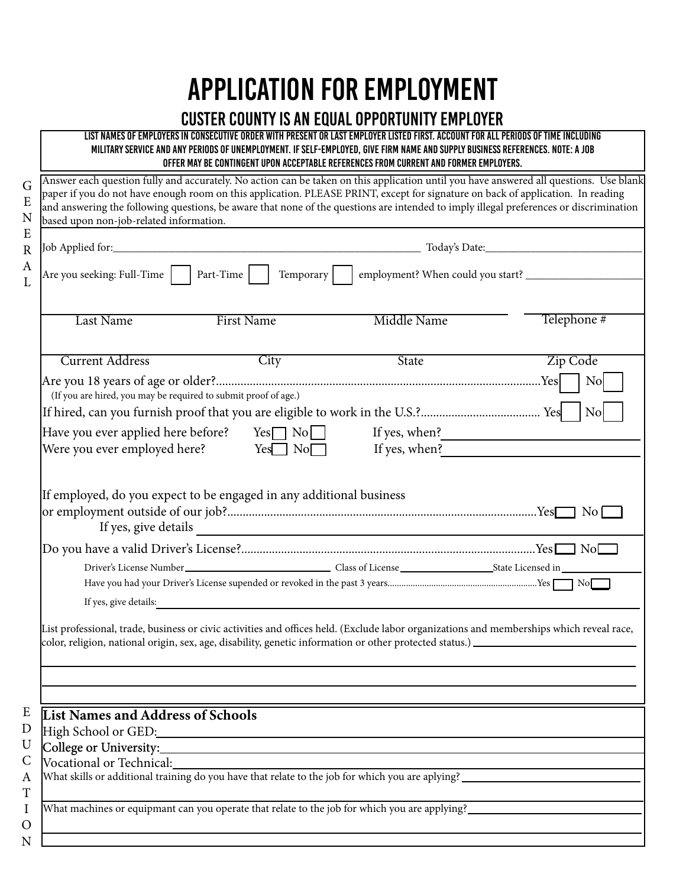## Application For Employment

## CUSTER COUNTY is an Equal Opportunity Employer

List names of employers in consecutive order with present or last employer listed first. Account for all periods of time including military service and any periods of unemployment. If self-employed, give firm name and supply business references. Note: A job offer may be contingent upon acceptable references from current and former employers.

Answer each question fully and accurately. No action can be taken on this application until you have answered all questions. Use blank G paper if you do not have enough room on this application. PLEASE PRINT, except for signature on back of application. In reading E and answering the following questions, be aware that none of the questions are intended to imply illegal preferences or discrimination N based upon non-job-related information. E Job Applied for:\_\_\_\_\_\_\_\_\_\_\_\_\_\_\_\_\_\_\_\_\_\_\_\_\_\_\_\_\_\_\_\_\_\_\_\_\_\_\_\_\_\_\_\_\_\_\_\_\_\_\_\_\_\_\_ Today's Date:\_\_\_\_\_\_\_\_\_\_\_\_\_\_\_\_\_\_\_\_\_\_\_\_\_\_\_\_ R A Are you seeking: Full-Time Part-Time Temporary employment? When could you start? \_\_\_\_\_\_\_\_\_\_\_\_\_\_\_\_\_\_\_\_\_  $\mathbf{L}$ Last Name First Name Middle Name Telephone # **Current Address** City City State Zip Code Are you 18 years of age or older?..........................................................................................................Yes No (If you are hired, you may be required to submit proof of age.) If hired, can you furnish proof that you are eligible to work in the U.S.?....................................... Yes No Have you ever applied here before? Yes  $\Box$  No If yes, when? Were you ever employed here?  $Yes \Box \text{No} \Box$  If yes, when? If employed, do you expect to be engaged in any additional business or employment outside of our job?.....................................................................................................Yes No If yes, give details Do you have a valid Driver's License?................................................................................................Yes No Driver's License Number Class of License State Licensed in Have you had your Driver's License supended or revoked in the past 3 years.................................................................Yes No If yes, give details: List professional, trade, business or civic activities and offices held. (Exclude labor organizations and memberships which reveal race, color, religion, national origin, sex, age, disability, genetic information or other protected status.) E List Names and Address of Schools D High School or GED: U College or University:  $\mathcal{C}$ Vocational or Technical: What skills or additional training do you have that relate to the job for which you are aplying? A T What machines or equipmant can you operate that relate to the job for which you are applying? I  $\Omega$ N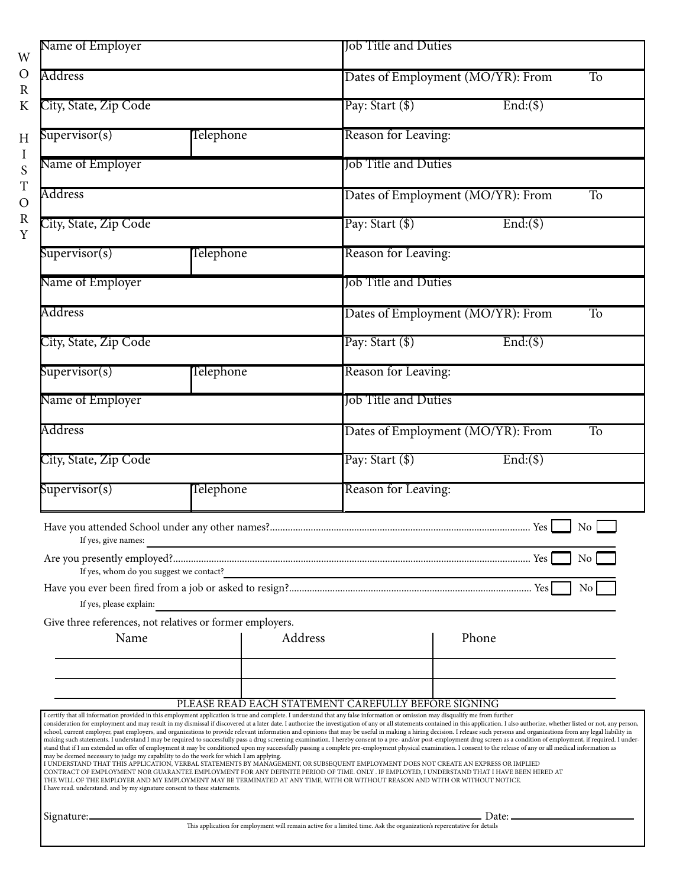| Name of Employer                                                          |                                                                                        | <b>Job Title and Duties</b>                                                                                                                                                                                                                                                                                                                                                                                                                                                                                                                                                                                                                                                                                                                                                                                                                                                                                                                                                                                                                                                                                                                                                                                                                                                                                                                                                                                                                                                                                                   |  |
|---------------------------------------------------------------------------|----------------------------------------------------------------------------------------|-------------------------------------------------------------------------------------------------------------------------------------------------------------------------------------------------------------------------------------------------------------------------------------------------------------------------------------------------------------------------------------------------------------------------------------------------------------------------------------------------------------------------------------------------------------------------------------------------------------------------------------------------------------------------------------------------------------------------------------------------------------------------------------------------------------------------------------------------------------------------------------------------------------------------------------------------------------------------------------------------------------------------------------------------------------------------------------------------------------------------------------------------------------------------------------------------------------------------------------------------------------------------------------------------------------------------------------------------------------------------------------------------------------------------------------------------------------------------------------------------------------------------------|--|
| Address                                                                   |                                                                                        | Dates of Employment (MO/YR): From<br>To                                                                                                                                                                                                                                                                                                                                                                                                                                                                                                                                                                                                                                                                                                                                                                                                                                                                                                                                                                                                                                                                                                                                                                                                                                                                                                                                                                                                                                                                                       |  |
| City, State, Zip Code                                                     |                                                                                        | Pay: Start (\$)<br>$End($ \$)                                                                                                                                                                                                                                                                                                                                                                                                                                                                                                                                                                                                                                                                                                                                                                                                                                                                                                                                                                                                                                                                                                                                                                                                                                                                                                                                                                                                                                                                                                 |  |
| Supervisor(s)                                                             | Telephone                                                                              | Reason for Leaving:                                                                                                                                                                                                                                                                                                                                                                                                                                                                                                                                                                                                                                                                                                                                                                                                                                                                                                                                                                                                                                                                                                                                                                                                                                                                                                                                                                                                                                                                                                           |  |
| Name of Employer                                                          |                                                                                        | <b>Job Title and Duties</b>                                                                                                                                                                                                                                                                                                                                                                                                                                                                                                                                                                                                                                                                                                                                                                                                                                                                                                                                                                                                                                                                                                                                                                                                                                                                                                                                                                                                                                                                                                   |  |
| Address                                                                   |                                                                                        | Dates of Employment (MO/YR): From<br>To                                                                                                                                                                                                                                                                                                                                                                                                                                                                                                                                                                                                                                                                                                                                                                                                                                                                                                                                                                                                                                                                                                                                                                                                                                                                                                                                                                                                                                                                                       |  |
| City, State, Zip Code                                                     |                                                                                        | Pay: Start (\$)<br>$End($ \$)                                                                                                                                                                                                                                                                                                                                                                                                                                                                                                                                                                                                                                                                                                                                                                                                                                                                                                                                                                                                                                                                                                                                                                                                                                                                                                                                                                                                                                                                                                 |  |
| Supervisor(s)                                                             | Telephone                                                                              | Reason for Leaving:                                                                                                                                                                                                                                                                                                                                                                                                                                                                                                                                                                                                                                                                                                                                                                                                                                                                                                                                                                                                                                                                                                                                                                                                                                                                                                                                                                                                                                                                                                           |  |
| Name of Employer                                                          |                                                                                        | Tob Title and Duties                                                                                                                                                                                                                                                                                                                                                                                                                                                                                                                                                                                                                                                                                                                                                                                                                                                                                                                                                                                                                                                                                                                                                                                                                                                                                                                                                                                                                                                                                                          |  |
| Address                                                                   |                                                                                        | Dates of Employment (MO/YR): From<br>T <sub>o</sub>                                                                                                                                                                                                                                                                                                                                                                                                                                                                                                                                                                                                                                                                                                                                                                                                                                                                                                                                                                                                                                                                                                                                                                                                                                                                                                                                                                                                                                                                           |  |
| City, State, Zip Code                                                     |                                                                                        | Pay: Start (\$)<br>$End($ \$)                                                                                                                                                                                                                                                                                                                                                                                                                                                                                                                                                                                                                                                                                                                                                                                                                                                                                                                                                                                                                                                                                                                                                                                                                                                                                                                                                                                                                                                                                                 |  |
| Supervisor(s)                                                             | Telephone                                                                              | Reason for Leaving:                                                                                                                                                                                                                                                                                                                                                                                                                                                                                                                                                                                                                                                                                                                                                                                                                                                                                                                                                                                                                                                                                                                                                                                                                                                                                                                                                                                                                                                                                                           |  |
| Name of Employer                                                          |                                                                                        | Job Title and Duties                                                                                                                                                                                                                                                                                                                                                                                                                                                                                                                                                                                                                                                                                                                                                                                                                                                                                                                                                                                                                                                                                                                                                                                                                                                                                                                                                                                                                                                                                                          |  |
| Address                                                                   |                                                                                        | Dates of Employment (MO/YR): From<br>T <sub>o</sub>                                                                                                                                                                                                                                                                                                                                                                                                                                                                                                                                                                                                                                                                                                                                                                                                                                                                                                                                                                                                                                                                                                                                                                                                                                                                                                                                                                                                                                                                           |  |
| City, State, Zip Code                                                     |                                                                                        | Pay: Start (\$)<br>$End($ \$)                                                                                                                                                                                                                                                                                                                                                                                                                                                                                                                                                                                                                                                                                                                                                                                                                                                                                                                                                                                                                                                                                                                                                                                                                                                                                                                                                                                                                                                                                                 |  |
| Supervisor(s)                                                             | Telephone                                                                              | Reason for Leaving:                                                                                                                                                                                                                                                                                                                                                                                                                                                                                                                                                                                                                                                                                                                                                                                                                                                                                                                                                                                                                                                                                                                                                                                                                                                                                                                                                                                                                                                                                                           |  |
| If yes, give names:                                                       |                                                                                        | No<br><u> 1989 - Johann Barn, amerikansk politiker (</u><br>No                                                                                                                                                                                                                                                                                                                                                                                                                                                                                                                                                                                                                                                                                                                                                                                                                                                                                                                                                                                                                                                                                                                                                                                                                                                                                                                                                                                                                                                                |  |
| If yes, whom do you suggest we contact?<br>If yes, please explain:        |                                                                                        | No                                                                                                                                                                                                                                                                                                                                                                                                                                                                                                                                                                                                                                                                                                                                                                                                                                                                                                                                                                                                                                                                                                                                                                                                                                                                                                                                                                                                                                                                                                                            |  |
| Name                                                                      | Give three references, not relatives or former employers.                              | Address<br>Phone                                                                                                                                                                                                                                                                                                                                                                                                                                                                                                                                                                                                                                                                                                                                                                                                                                                                                                                                                                                                                                                                                                                                                                                                                                                                                                                                                                                                                                                                                                              |  |
|                                                                           |                                                                                        | PLEASE READ EACH STATEMENT CAREFULLY BEFORE SIGNING                                                                                                                                                                                                                                                                                                                                                                                                                                                                                                                                                                                                                                                                                                                                                                                                                                                                                                                                                                                                                                                                                                                                                                                                                                                                                                                                                                                                                                                                           |  |
| I have read. understand. and by my signature consent to these statements. | may be deemed necessary to judge my capability to do the work for which I am applying. | I certify that all information provided in this employment application is true and complete. I understand that any false information or omission may disqualify me from further<br>consideration for employment and may result in my dismissal if discovered at a later date. I authorize the investigation of any or all statements contained in this application. I also authorize, whether listed or not, any<br>school, current employer, past employers, and organizations to provide relevant information and opinions that may be useful in making a hiring decision. I release such persons and organizations from any legal liability in<br>making such statements. I understand I may be required to successfully pass a drug screening examination. I hereby consent to a pre- and/or post-employment drug screen as a condition of employment, if required. I under-<br>stand that if I am extended an offer of employment it may be conditioned upon my successfully passing a complete pre-employment physical examination. I consent to the release of any or all medical information as<br>I UNDERSTAND THAT THIS APPLICATION, VERBAL STATEMENTS BY MANAGEMENT, OR SUBSEQUENT EMPLOYMENT DOES NOT CREATE AN EXPRESS OR IMPLIED<br>CONTRACT OF EMPLOYMENT NOR GUARANTEE EMPLOYMENT FOR ANY DEFINITE PERIOD OF TIME. ONLY . IF EMPLOYED, I UNDERSTAND THAT I HAVE BEEN HIRED AT<br>THE WILL OF THE EMPLOYER AND MY EMPLOYMENT MAY BE TERMINATED AT ANY TIME, WITH OR WITHOUT REASON AND WITH OR WITHOUT NOTICE. |  |
| Signature:-                                                               |                                                                                        | . Date: _________                                                                                                                                                                                                                                                                                                                                                                                                                                                                                                                                                                                                                                                                                                                                                                                                                                                                                                                                                                                                                                                                                                                                                                                                                                                                                                                                                                                                                                                                                                             |  |
|                                                                           |                                                                                        | This application for employment will remain active for a limited time. Ask the organization's reperentative for details                                                                                                                                                                                                                                                                                                                                                                                                                                                                                                                                                                                                                                                                                                                                                                                                                                                                                                                                                                                                                                                                                                                                                                                                                                                                                                                                                                                                       |  |

W O R K

> H I S T O R Y